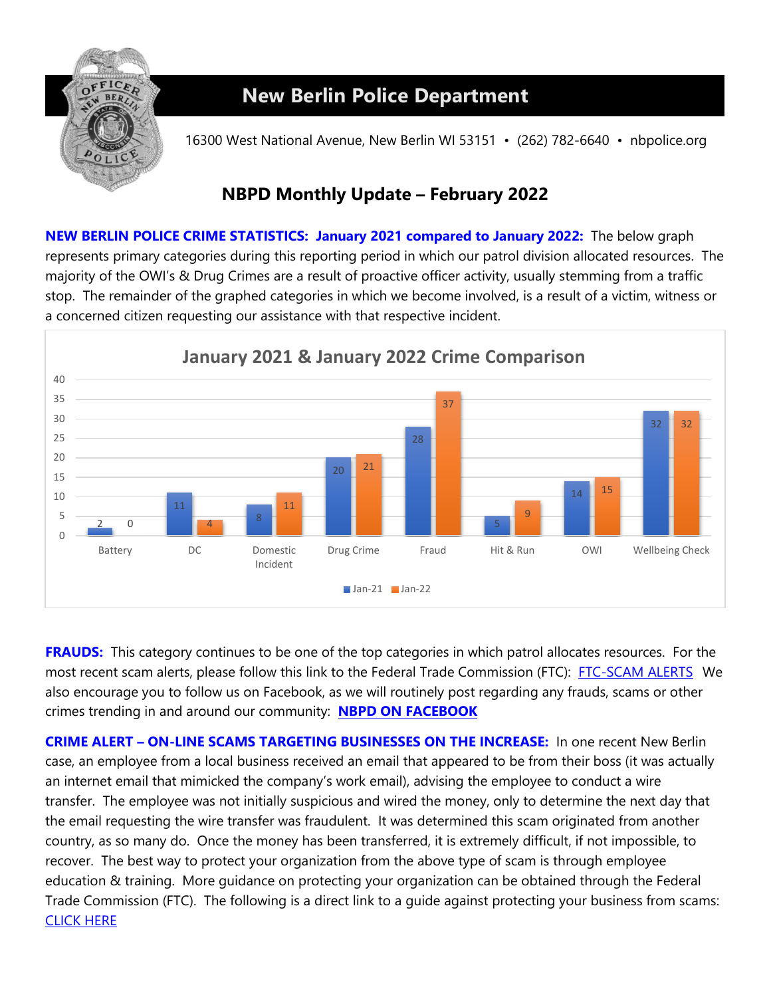

## **New Berlin Police Department**

16300 West National Avenue, New Berlin WI 53151 • (262) 782-6640 • nbpolice.org

## **NBPD Monthly Update – February 2022**

**NEW BERLIN POLICE CRIME STATISTICS: January 2021 compared to January 2022:** The below graph represents primary categories during this reporting period in which our patrol division allocated resources. The majority of the OWI's & Drug Crimes are a result of proactive officer activity, usually stemming from a traffic stop. The remainder of the graphed categories in which we become involved, is a result of a victim, witness or a concerned citizen requesting our assistance with that respective incident.



**FRAUDS:** This category continues to be one of the top categories in which patrol allocates resources. For the most recent scam alerts, please follow this link to the Federal Trade Commission (FTC): [FTC-SCAM ALERTS](https://www.consumer.ftc.gov/features/scam-alerts) We also encourage you to follow us on Facebook, as we will routinely post regarding any frauds, scams or other crimes trending in and around our community: **[NBPD ON FACEBOOK](http://www.facebook.com/pages/New-Berlin-Police-Department/112811588818971)**

**CRIME ALERT – ON-LINE SCAMS TARGETING BUSINESSES ON THE INCREASE:** In one recent New Berlin case, an employee from a local business received an email that appeared to be from their boss (it was actually an internet email that mimicked the company's work email), advising the employee to conduct a wire transfer. The employee was not initially suspicious and wired the money, only to determine the next day that the email requesting the wire transfer was fraudulent. It was determined this scam originated from another country, as so many do. Once the money has been transferred, it is extremely difficult, if not impossible, to recover. The best way to protect your organization from the above type of scam is through employee education & training. More guidance on protecting your organization can be obtained through the Federal Trade Commission (FTC). The following is a direct link to a guide against protecting your business from scams: [CLICK HERE](https://www.ftc.gov/tips-advice/business-center/guidance/scams-your-small-business-guide-business#protect)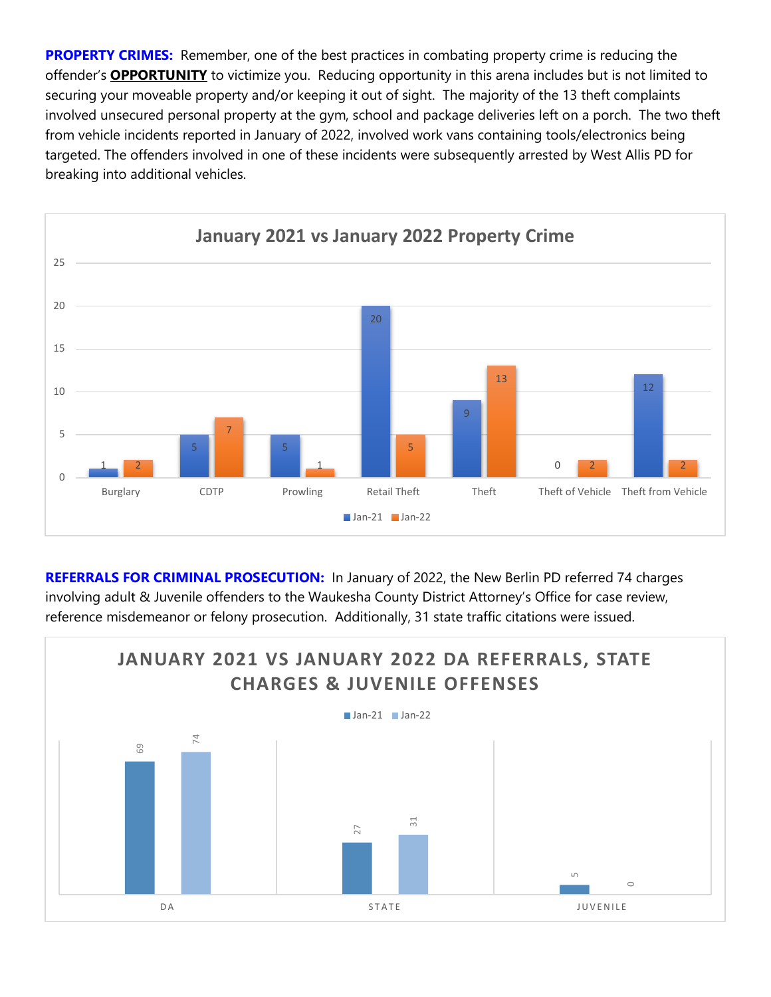**PROPERTY CRIMES:** Remember, one of the best practices in combating property crime is reducing the offender's **OPPORTUNITY** to victimize you. Reducing opportunity in this arena includes but is not limited to securing your moveable property and/or keeping it out of sight. The majority of the 13 theft complaints involved unsecured personal property at the gym, school and package deliveries left on a porch. The two theft from vehicle incidents reported in January of 2022, involved work vans containing tools/electronics being targeted. The offenders involved in one of these incidents were subsequently arrested by West Allis PD for breaking into additional vehicles.



**REFERRALS FOR CRIMINAL PROSECUTION:** In January of 2022, the New Berlin PD referred 74 charges involving adult & Juvenile offenders to the Waukesha County District Attorney's Office for case review, reference misdemeanor or felony prosecution. Additionally, 31 state traffic citations were issued.

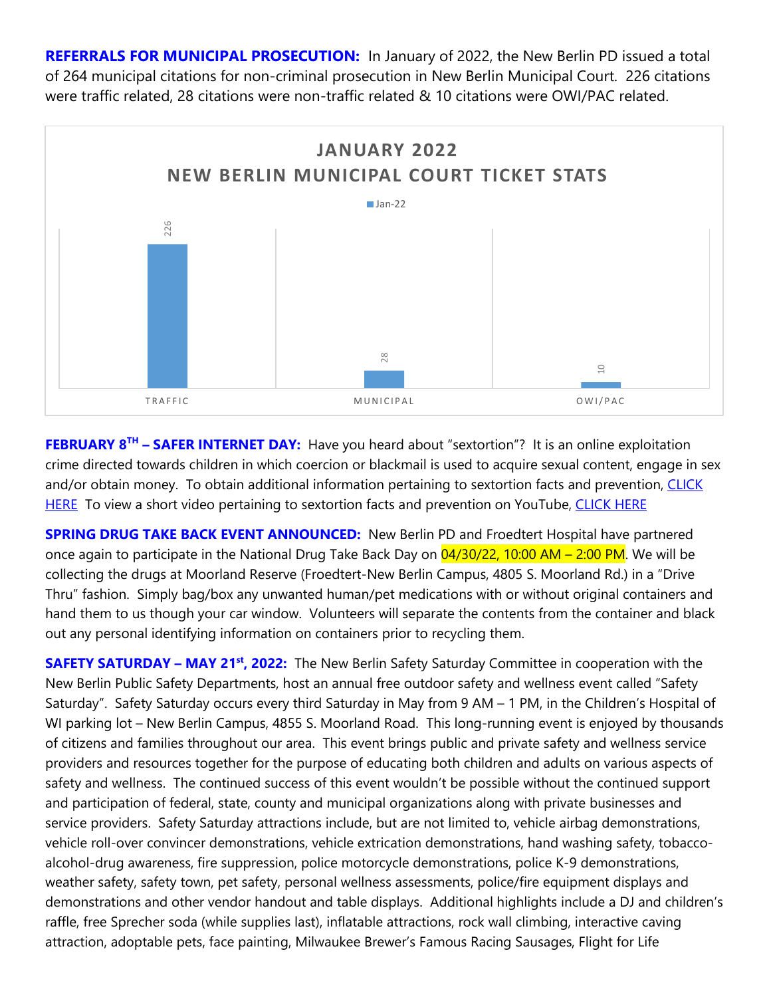**REFERRALS FOR MUNICIPAL PROSECUTION:** In January of 2022, the New Berlin PD issued a total of 264 municipal citations for non-criminal prosecution in New Berlin Municipal Court. 226 citations were traffic related, 28 citations were non-traffic related & 10 citations were OWI/PAC related.



**FEBRUARY 8TH – SAFER INTERNET DAY:** Have you heard about "sextortion"? It is an online exploitation crime directed towards children in which coercion or blackmail is used to acquire sexual content, engage in sex and/or obtain money. To obtain additional information pertaining to sextortion facts and prevention, CLICK [HERE](https://www.newberlin.org/DocumentCenter/View/16759/ICAC-Sextortion-Infographic-2022?bidId) To view a short video pertaining to sextortion facts and prevention on YouTube, [CLICK HERE](https://www.youtube.com/watch?v=9yQ3fdttbUk)

**SPRING DRUG TAKE BACK EVENT ANNOUNCED:** New Berlin PD and Froedtert Hospital have partnered once again to participate in the National Drug Take Back Day on  $04/30/22$ , 10:00 AM – 2:00 PM. We will be collecting the drugs at Moorland Reserve (Froedtert-New Berlin Campus, 4805 S. Moorland Rd.) in a "Drive Thru" fashion. Simply bag/box any unwanted human/pet medications with or without original containers and hand them to us though your car window. Volunteers will separate the contents from the container and black out any personal identifying information on containers prior to recycling them.

**SAFETY SATURDAY – MAY 21st, 2022:** The New Berlin Safety Saturday Committee in cooperation with the New Berlin Public Safety Departments, host an annual free outdoor safety and wellness event called "Safety Saturday". Safety Saturday occurs every third Saturday in May from 9 AM – 1 PM, in the Children's Hospital of WI parking lot – New Berlin Campus, 4855 S. Moorland Road. This long-running event is enjoyed by thousands of citizens and families throughout our area. This event brings public and private safety and wellness service providers and resources together for the purpose of educating both children and adults on various aspects of safety and wellness. The continued success of this event wouldn't be possible without the continued support and participation of federal, state, county and municipal organizations along with private businesses and service providers. Safety Saturday attractions include, but are not limited to, vehicle airbag demonstrations, vehicle roll-over convincer demonstrations, vehicle extrication demonstrations, hand washing safety, tobaccoalcohol-drug awareness, fire suppression, police motorcycle demonstrations, police K-9 demonstrations, weather safety, safety town, pet safety, personal wellness assessments, police/fire equipment displays and demonstrations and other vendor handout and table displays. Additional highlights include a DJ and children's raffle, free Sprecher soda (while supplies last), inflatable attractions, rock wall climbing, interactive caving **Example 19**<br> **EFBRUARY 8"** – **SAFER INTERNET DAY:** Have you heard about "seatoricin"? It is an online exploit<br>trime directed towards children in which coercion or blackmal is used to acquire sexual contert, eng<br>
and/or o